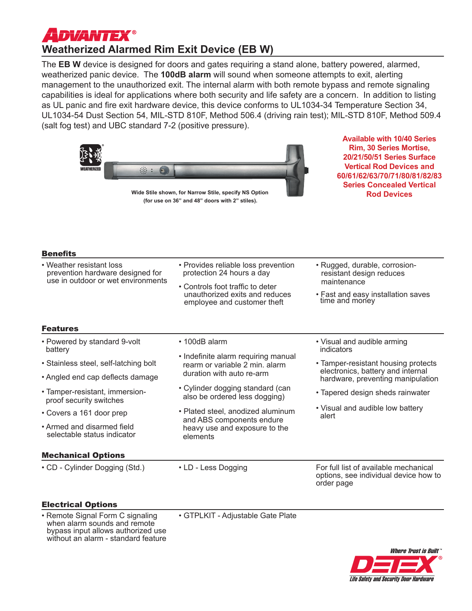# **ADVANTEX® Weatherized Alarmed Rim Exit Device (EB W)**

The **EB W** device is designed for doors and gates requiring a stand alone, battery powered, alarmed, weatherized panic device. The **100dB alarm** will sound when someone attempts to exit, alerting management to the unauthorized exit. The internal alarm with both remote bypass and remote signaling capabilities is ideal for applications where both security and life safety are a concern. In addition to listing as UL panic and fire exit hardware device, this device conforms to UL1034-34 Temperature Section 34, UL1034-54 Dust Section 54, MIL-STD 810F, Method 506.4 (driving rain test); MIL-STD 810F, Method 509.4 (salt fog test) and UBC standard 7-2 (positive pressure).



**Wide Stile shown, for Narrow Stile, specify NS Option (for use on 36" and 48" doors with 2" stiles).**

**Available with 10/40 Series Rim, 30 Series Mortise, 20/21/50/51 Series Surface Vertical Rod Devices and 60/61/62/63/70/71/80/81/82/83 Series Concealed Vertical Rod Devices**

### Benefits

| • Weather resistant loss<br>prevention hardware designed for<br>use in outdoor or wet environments                                            | • Provides reliable loss prevention<br>protection 24 hours a day                                            | • Rugged, durable, corrosion-<br>resistant design reduces                                                     |
|-----------------------------------------------------------------------------------------------------------------------------------------------|-------------------------------------------------------------------------------------------------------------|---------------------------------------------------------------------------------------------------------------|
|                                                                                                                                               | • Controls foot traffic to deter<br>unauthorized exits and reduces<br>employee and customer theft           | maintenance<br>• Fast and easy installation saves<br>time and money                                           |
| <b>Features</b>                                                                                                                               |                                                                                                             |                                                                                                               |
| • Powered by standard 9-volt<br>battery                                                                                                       | • 100dB alarm                                                                                               | • Visual and audible arming<br>indicators                                                                     |
| • Stainless steel, self-latching bolt                                                                                                         | • Indefinite alarm requiring manual<br>rearm or variable 2 min. alarm<br>duration with auto re-arm          | • Tamper-resistant housing protects<br>electronics, battery and internal<br>hardware, preventing manipulation |
| • Angled end cap deflects damage                                                                                                              |                                                                                                             |                                                                                                               |
| • Tamper-resistant, immersion-<br>proof security switches                                                                                     | • Cylinder dogging standard (can<br>also be ordered less dogging)                                           | • Tapered design sheds rainwater                                                                              |
| • Covers a 161 door prep                                                                                                                      | • Plated steel, anodized aluminum<br>and ABS components endure<br>heavy use and exposure to the<br>elements | • Visual and audible low battery<br>alert                                                                     |
| • Armed and disarmed field<br>selectable status indicator                                                                                     |                                                                                                             |                                                                                                               |
| <b>Mechanical Options</b>                                                                                                                     |                                                                                                             |                                                                                                               |
| • CD - Cylinder Dogging (Std.)                                                                                                                | • LD - Less Dogging                                                                                         | For full list of available mechanical<br>options, see individual device how to<br>order page                  |
| <b>Electrical Options</b>                                                                                                                     |                                                                                                             |                                                                                                               |
| • Remote Signal Form C signaling<br>when alarm sounds and remote<br>bypass input allows authorized use<br>without an alarm - standard feature | • GTPLKIT - Adjustable Gate Plate                                                                           |                                                                                                               |